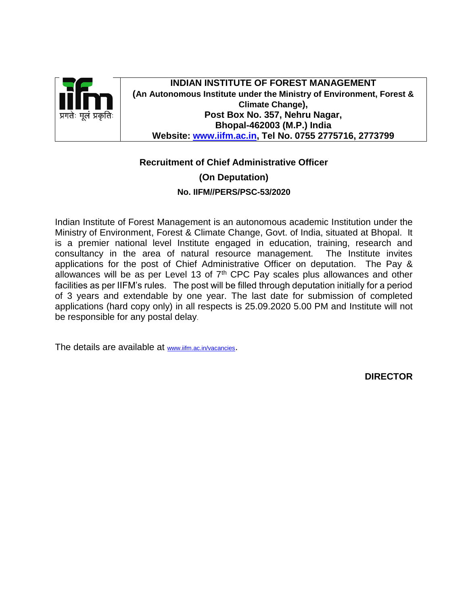

#### **INDIAN INSTITUTE OF FOREST MANAGEMENT (An Autonomous Institute under the Ministry of Environment, Forest & Climate Change), Post Box No. 357, Nehru Nagar, Bhopal-462003 (M.P.) India Website: [www.iifm.ac.in,](http://www.iifm.ac.in/) Tel No. 0755 2775716, 2773799**

## **Recruitment of Chief Administrative Officer**

**(On Deputation)**

#### **No. IIFM//PERS/PSC-53/2020**

Indian Institute of Forest Management is an autonomous academic Institution under the Ministry of Environment, Forest & Climate Change, Govt. of India, situated at Bhopal. It is a premier national level Institute engaged in education, training, research and consultancy in the area of natural resource management. The Institute invites applications for the post of Chief Administrative Officer on deputation. The Pay & allowances will be as per Level 13 of  $7<sup>th</sup>$  CPC Pay scales plus allowances and other facilities as per IIFM's rules. The post will be filled through deputation initially for a period of 3 years and extendable by one year. The last date for submission of completed applications (hard copy only) in all respects is 25.09.2020 5.00 PM and Institute will not be responsible for any postal delay.

The details are available at [www.iifm.ac.in/vacancies](http://www.iifm.ac.in/vacancies).

**DIRECTOR**